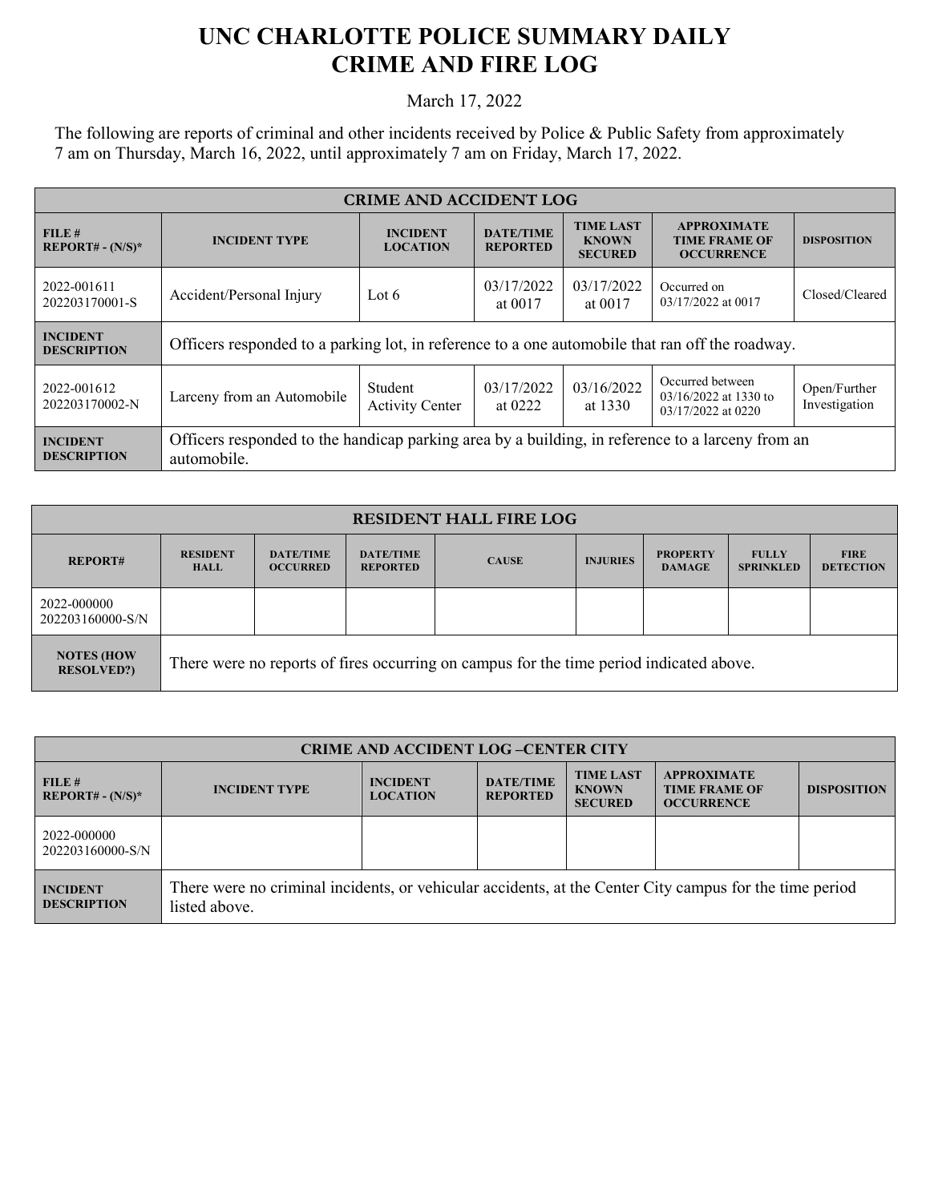## **UNC CHARLOTTE POLICE SUMMARY DAILY CRIME AND FIRE LOG**

March 17, 2022

The following are reports of criminal and other incidents received by Police & Public Safety from approximately 7 am on Thursday, March 16, 2022, until approximately 7 am on Friday, March 17, 2022.

| <b>CRIME AND ACCIDENT LOG</b>         |                                                                                                                 |                                    |                                     |                                                    |                                                                   |                               |
|---------------------------------------|-----------------------------------------------------------------------------------------------------------------|------------------------------------|-------------------------------------|----------------------------------------------------|-------------------------------------------------------------------|-------------------------------|
| FILE#<br>$REPORT# - (N/S)*$           | <b>INCIDENT TYPE</b>                                                                                            | <b>INCIDENT</b><br><b>LOCATION</b> | <b>DATE/TIME</b><br><b>REPORTED</b> | <b>TIME LAST</b><br><b>KNOWN</b><br><b>SECURED</b> | <b>APPROXIMATE</b><br><b>TIME FRAME OF</b><br><b>OCCURRENCE</b>   | <b>DISPOSITION</b>            |
| 2022-001611<br>202203170001-S         | Accident/Personal Injury                                                                                        | Lot $6$                            | 03/17/2022<br>at 0017               | 03/17/2022<br>at $0017$                            | Occurred on<br>03/17/2022 at 0017                                 | Closed/Cleared                |
| <b>INCIDENT</b><br><b>DESCRIPTION</b> | Officers responded to a parking lot, in reference to a one automobile that ran off the roadway.                 |                                    |                                     |                                                    |                                                                   |                               |
| 2022-001612<br>202203170002-N         | Larceny from an Automobile                                                                                      | Student<br><b>Activity Center</b>  | 03/17/2022<br>at 0222               | 03/16/2022<br>at 1330                              | Occurred between<br>$03/16/2022$ at 1330 to<br>03/17/2022 at 0220 | Open/Further<br>Investigation |
| <b>INCIDENT</b><br><b>DESCRIPTION</b> | Officers responded to the handicap parking area by a building, in reference to a larceny from an<br>automobile. |                                    |                                     |                                                    |                                                                   |                               |

| <b>RESIDENT HALL FIRE LOG</b>           |                                                                                         |                                     |                                     |              |                 |                                  |                                  |                                 |
|-----------------------------------------|-----------------------------------------------------------------------------------------|-------------------------------------|-------------------------------------|--------------|-----------------|----------------------------------|----------------------------------|---------------------------------|
| <b>REPORT#</b>                          | <b>RESIDENT</b><br><b>HALL</b>                                                          | <b>DATE/TIME</b><br><b>OCCURRED</b> | <b>DATE/TIME</b><br><b>REPORTED</b> | <b>CAUSE</b> | <b>INJURIES</b> | <b>PROPERTY</b><br><b>DAMAGE</b> | <b>FULLY</b><br><b>SPRINKLED</b> | <b>FIRE</b><br><b>DETECTION</b> |
| 2022-000000<br>202203160000-S/N         |                                                                                         |                                     |                                     |              |                 |                                  |                                  |                                 |
| <b>NOTES (HOW)</b><br><b>RESOLVED?)</b> | There were no reports of fires occurring on campus for the time period indicated above. |                                     |                                     |              |                 |                                  |                                  |                                 |

| <b>CRIME AND ACCIDENT LOG-CENTER CITY</b> |                                                                                                                          |                                    |                                     |                                                    |                                                                 |                    |  |
|-------------------------------------------|--------------------------------------------------------------------------------------------------------------------------|------------------------------------|-------------------------------------|----------------------------------------------------|-----------------------------------------------------------------|--------------------|--|
| FILE H<br>$REPORT# - (N/S)*$              | <b>INCIDENT TYPE</b>                                                                                                     | <b>INCIDENT</b><br><b>LOCATION</b> | <b>DATE/TIME</b><br><b>REPORTED</b> | <b>TIME LAST</b><br><b>KNOWN</b><br><b>SECURED</b> | <b>APPROXIMATE</b><br><b>TIME FRAME OF</b><br><b>OCCURRENCE</b> | <b>DISPOSITION</b> |  |
| 2022-000000<br>202203160000-S/N           |                                                                                                                          |                                    |                                     |                                                    |                                                                 |                    |  |
| <b>INCIDENT</b><br><b>DESCRIPTION</b>     | There were no criminal incidents, or vehicular accidents, at the Center City campus for the time period<br>listed above. |                                    |                                     |                                                    |                                                                 |                    |  |